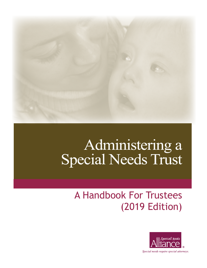

# Administering a<br>Special Needs Trust

# A Handbook For Trustees (2019 Edition)



Special needs require special attorneys.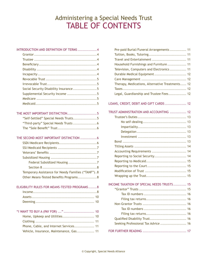# Administering a Special Needs Trust TABLE OF CONTENTS

| INTRODUCTION AND DEFINITION OF TERMS  4                                                       |  |
|-----------------------------------------------------------------------------------------------|--|
|                                                                                               |  |
|                                                                                               |  |
|                                                                                               |  |
|                                                                                               |  |
|                                                                                               |  |
|                                                                                               |  |
|                                                                                               |  |
| Social Security Disability Insurance5                                                         |  |
| Supplemental Security Income 5                                                                |  |
|                                                                                               |  |
|                                                                                               |  |
| THE MOST IMPORTANT DISTINCTION5                                                               |  |
| "Self-Settled" Special Needs Trusts5                                                          |  |
| "Third-party" Special Needs Trusts  6                                                         |  |
|                                                                                               |  |
| THE SECOND MOST IMPORTANT DISTINCTION  6                                                      |  |
|                                                                                               |  |
|                                                                                               |  |
|                                                                                               |  |
|                                                                                               |  |
| Federal Subsidized Housing 7                                                                  |  |
|                                                                                               |  |
| Temporary Assistance for Needy Families ("TANF"). 8<br>Other Means-Tested Benefits Programs 8 |  |
|                                                                                               |  |
| ELIGIBILITY RULES FOR MEANS-TESTED PROGRAMS8                                                  |  |
|                                                                                               |  |
|                                                                                               |  |
|                                                                                               |  |
| "I WANT TO BUY A (PAY FOR) "  10                                                              |  |
| Home, Upkeep and Utilities 10                                                                 |  |
|                                                                                               |  |
| Phone, Cable, and Internet Services 11                                                        |  |
| Vehicle, Insurance, Maintenance, Gas 11                                                       |  |

| Pre-paid Burial/Funeral Arrangements  11        |
|-------------------------------------------------|
|                                                 |
|                                                 |
| Household Furnishings and Furniture  11         |
| Television, Computers and Electronics 11        |
| Durable Medical Equipment 12                    |
|                                                 |
| Therapy, Medications, Alternative Treatments 12 |
|                                                 |
| Legal, Guardianship and Trustee Fees 12         |
| LOANS, CREDIT, DEBIT AND GIFT CARDS  12         |
| TRUST ADMINISTRATION AND ACCOUNTING  12         |
|                                                 |
|                                                 |
|                                                 |
|                                                 |
|                                                 |
|                                                 |
|                                                 |
| Accounting Requirements  14                     |
| Reporting to Social Security 14                 |
|                                                 |
|                                                 |
|                                                 |
|                                                 |
| INCOME TAXATION OF SPECIAL NEEDS TRUSTS 15      |
|                                                 |
|                                                 |
|                                                 |
|                                                 |
|                                                 |
|                                                 |
| Qualified Disability Trust 16                   |
| Seeking Professional Tax Advice  16             |
|                                                 |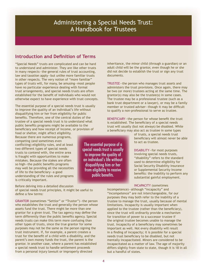# Administering a Special Needs Trust: A Handbook for Trustees

# **Introduction and Definition of Terms**

"Special Needs" trusts are complicated and can be hard to understand and administer. They are like other trusts in many respects—the general rules of trust accounting, law and taxation apply—but unlike more familiar trusts in other respects. The very notion of "more familiar" types of trusts will, for many, be amusing—most people have no particular experience dealing with formal trust arrangements, and special needs trusts are often established for the benefit of individuals who would not otherwise expect to have experience with trust concepts.

The essential purpose of a special needs trust is usually to improve the quality of an individual's life without disqualifying him or her from eligibility for public benefits. Therefore, one of the central duties of the trustee of a special needs trust is to understand what public benefits programs might be available to the beneficiary and how receipt of income, or provision of

food or shelter, might affect eligibility. Because there are numerous programs, competing (and sometimes even conflicting) eligibility rules, and at least two different types of special needs trusts to contend with, the entire area is fraught with opportunities to make mistakes. Because the stakes are often so high—the public benefits programs may well be providing all the necessities of life to the beneficiary—a good understanding of the rules and programs is critically important.

#### Before delving into a detailed discussion

of special needs trust principles, it might be useful to define a few terms:

GRANTOR (sometimes "Settlor" or "Trustor")—the person who establishes the trust and generally the person whose assets fund the trust. There might be more than one grantor for a given trust. The tax agency may define the term differently than the public benefits agency. Special needs trusts can make this term more confusing than other types of trusts, since the true grantor for some purposes may not be the same as the person signing the trust instrument. If, for example, a parent creates a trust for the benefit of a child with a disability, and the parent's own money funds the trust, the parent is the grantor. In another case, where a parent has established a special needs trust to handle settlement proceeds from a personal injury lawsuit or improperly directed

The essential purpose of a special needs trust is usually to improve the quality of an individual's life without disqualifying him or her from eligibility to receive public benefits.

inheritance, the minor child (through a guardian) or an adult child will be the grantor, even though he or she did not decide to establish the trust or sign any trust documents.

TRUSTEE—the person who manages trust assets and administers the trust provisions. Once again, there may be two (or more) trustees acting at the same time. The grantor(s) may also be the trustee(s) in some cases. The trustee may be a professional trustee (such as a bank trust department or a lawyer), or may be a family member or trusted adviser—though it may be difficult to qualify a non-professional to serve as trustee.

BENEFICIARY—the person for whose benefit the trust is established. The beneficiary of a special needs trust will usually (but not always) be disabled. While a beneficiary may also act as trustee in some types

> of trusts, a special needs trust beneficiary will almost never be able to act as trustee.

> DISABILITY—for most purposes involving special needs trusts, "disability" refers to the standard used to determine eligibility for Social Security Disability Insurance or Supplemental Security Income benefits: the inability to perform any substantial gainful employment.

#### INCAPACITY (sometimes

Incompetence)—although "incapacity" and "incompetence" are not interchangeable, for our purposes they may both refer to the inability of a trustee to manage the trust, usually because of mental limitations. Incapacity is usually important when applied to the trustee (rather than the beneficiary), since the trust will ordinarily provide a mechanism for transition of power to a successor trustee if the original trustee becomes unable to manage the trust. Incapacity of a beneficiary may sometimes be important as well. Not every disability will result in a finding of incapacity; it is possible for a special needs trust beneficiary to be disabled, but not mentally incapacitated. Minors are considered to be incapacitated as a matter of law. The age of majority differs slightly from state to state, though it is 18 in all but a handful of states.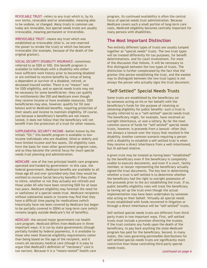REVOCABLE TRUST—refers to any trust which is, by its own terms, revocable and/or amendable, meaning able to be undone, or changed. Many trusts in common use today are revocable, but special needs trusts are usually irrevocable, meaning permanent or irreversible.

IRREVOCABLE TRUST—means any trust which was established as irrevocable (that is, no one reserved the power to revoke the trust) or which has become irrevocable (for example, because of the death of the original grantor).

SOCIAL SECURITY DISABILITY INSURANCE—sometimes referred to as SSDI or SSD, this benefit program is available to individuals with a disability who either have sufficient work history prior to becoming disabled or are entitled to receive benefits by virtue of being a dependent or survivor of a disabled, retired, or deceased insured worker. There is no "means" test for SSDI eligibility, and so special needs trusts may not be necessary for some beneficiaries—they can qualify for entitlements like SSD and Medicare even though they receive income or have available resources. SSDI beneficiaries may also, however, qualify for SSI (see below) and/or Medicaid benefits, requiring protection of their assets and income to maintain eligibility. Of course, just because a beneficiary's benefits are not meanstested, it does not follow that the beneficiary will not benefit from the protection of a trust for other reasons.

SUPPLEMENTAL SECURITY INCOME—better known by the initials "SSI," this benefit program is available to lowincome individuals who are disabled, blind or elderly and have limited income and few assets. SSI eligibility rules form the basis for most other government program rules, and so they become the central focus for much special needs trust planning and administration.

MEDICARE—one of the two principal health care programs operated and funded by government—in this case, the federal government. Medicare benefits are available to all those age 65 and over (provided only that they would be entitled to receive Social Security benefits if they chose to retire, whether or not they actually are retired) and those under 65 who have been receiving SSDI for at least two years. Medicare eligibility may forestall the need for or usefulness of a special needs trust. Medicare recipients without substantial assets or income may find that they have a difficult time paying for medications (which historically have not been covered by Medicare but began to be partially covered in 2004) or long-term care (which remains largely outside Medicare's list of benefits).

MEDICAID—the second major government-run health care program. Medicaid differs from Medicare in three important ways: it is run by state governments (though partially funded by federal payments), it is available to those who meet financial eligibility requirements rather than being based on the age of the recipient, and it covers all necessary medical care (though it is easy to argue that Medicaid's definition of "necessary" care is too narrow). Because it is a "means-tested" health care

program, its continued availability is often the central focus of special needs trust administration. Because Medicare covers such a small portion of long-term care costs, Medicaid eligibility becomes centrally important for many persons with disabilities.

#### **The Most Important Distinction**

Two entirely different types of trusts are usually lumped together as "special needs" trusts. The two trust types will be treated differently for tax purposes, for benefit determinations, and for court involvement. For most of the discussion that follows, it will be necessary to first distinguish between the two types of trusts. The distinction is further complicated by the fact that the grantor (the person establishing the trust, and the easiest way to distinguish between the two trust types) is not always the person who actually signs the trust document.

### **"Self-Settled" Special Needs Trusts**

Some trusts are established by the beneficiary (or by someone acting on his or her behalf) with the beneficiary's funds for the purpose of retaining or obtaining eligibility for public benefits—such a trust is usually referred to as a "self-settled" special needs trust. The beneficiary might, for example, have received an outright inheritance, or won a lottery. By far the most common source of funds for "self-settled" special needs trusts, however, is proceeds from a lawsuit—often (but not always) a lawsuit over the injury that resulted in the disability. Another common scenario requiring a person with a disability to establish a self-settled trust is when they receive a direct inheritance from a well-intentioned, but ill-advised relative.

A given trust may be treated as having been "established" by the beneficiary even if the beneficiary is completely unable to execute documents, and even if a court, family member, or lawyer representing the beneficiary actually signed the trust documents. The key test in determining whether a trust is self-settled is to determine whether the beneficiary had the right to outright possession of the proceeds prior to the act establishing the trust. If so, public benefits eligibility rules will treat the beneficiary as having set up the trust even though the actual implementation may have been undertaken by someone else acting on their behalf. Virtually all special needs trusts established with funds recovered in litigation or through a direct inheritance will be "self-settled" trusts.

Self-settled special needs trusts are different from thirdparty trusts in two important ways. First, self-settled trusts must include a provision directing the trustee, if the trust contains any funds upon the death of the beneficiary, to pay back anything the state Medicaid program has paid for the beneficiary. Second, in many states, the rules governing permissible distributions for self-settled special needs trusts are significantly more restrictive than those controlling third-party special needs trusts.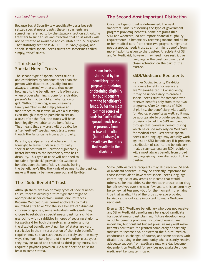Because Social Security law specifically describes selfsettled special needs trusts, these instruments are sometimes referred to by the statutory section authorizing transfers to such trusts and directing that trust assets will not be treated as available and countable for SSI purposes. That statutory section is 42 U.S.C. §1396p(d)(4)(A), and so self-settled special needs trusts are sometimes called, simply, "d4A" trusts.

# **"Third-party" Special Needs Trusts**

The second type of special needs trust is one established by someone other than the person with disabilities (usually, but not always, a parent) with assets that never belonged to the beneficiary. It is often used, when proper planning is done for a disabled person's family, to hold an inheritance or gift. Without planning, a well-meaning family member might simply leave an inheritance to an individual with a disability. Even though it may be possible to set up a trust after the fact, the funds will have been legally available to the beneficiary. That means that any trust will probably be a "self-settled" special needs trust, even though the funds came from a third party.

Parents, grandparents and others with the foresight to leave funds in a third party special needs trust will provide significantly better benefits to the beneficiary who has a disability. This type of trust will not need to include a "payback" provision for Medicaid benefits upon the beneficiary's death. During

the beneficiary's life, the kinds of payments the trust can make will usually be more generous and flexible.

# **The "Sole Benefit" Trust**

Although there are two primary types of special needs trusts, there is actually a third type that might be appropriate under certain unusual circumstances. Because Medicaid rules permit applicants to make unlimited gifts to or "for the sole benefit of" disabled children or spouses, some individuals with assets may choose to establish a special needs trust for a child or grandchild with disabilities in hopes of securing eligibility for Medicaid for both themselves as grantor and for the disabled beneficiary. A number of states are very restrictive in their interpretation of the "sole benefit" requirement, so that such trusts are rarely seen. In many ways they look like a hybrid of the two other trust types; they may be taxed and treated as third-party trusts, but require a payback provision like a self-settled trust (at least in some states).

Some trusts are established by the beneficiary for the purpose of retaining or obtaining eligibility for public benefits with the beneficiary's funds. By far the most common source of funds for "self-settled" special needs trusts is proceeds from a lawsuit—often (but not always) a lawsuit over the injury that resulted in the disability.

#### **The Second Most Important Distinction**

Once the type of trust is determined, the next important issue is discerning the type of government program providing benefits. Some programs (like SSDI and Medicare) do not impose financial eligibility requirements; a beneficiary receiving income and all his or her medical care from those two programs might not need a special needs trust at all, or might benefit from more flexibility given to the trustee. A recipient of SSI and/or Medicaid, however, may need more restrictive

> language in the trust document and closer attention on the part of the trustee.

#### **SSDI/Medicare Recipients**

Neither Social Security Disability Insurance benefits nor Medicare are "means–tested." Consequently, it may be unnecessary to create a special needs trust for someone who receives benefits only from those two programs. After 24 months of SSDI eligibility, the beneficiary will qualify for Medicare benefits as well, so it may be appropriate to provide special needs provisions to get the SSDI recipient through that two-year period, during which he or she may rely on Medicaid for medical care. Restrictive special needs trust language may actually work against an SSDI beneficiary if it prevents distribution of cash to the beneficiary in all circumstances; an SSDI recipient will almost always benefit from broad language giving more discretion to the trustee.

Some SSDI/Medicare recipients may also receive SSI and/ or Medicaid benefits. It may be critically important for those individuals to have strict special needs language controlling use of any assets or income that would otherwise be available. As the Medicare prescription drug benefit evolves over the next few years, this concern may be somewhat lessened—but for the moment, it remains true that availability of the drug coverage provided by Medicaid is critically important to many Medicare recipients.

Even an SSDI/Medicare beneficiary who does not receive any SSI or Medicaid benefits may be a good candidate for special needs trust planning. Future developments in public benefits programs, including housing, are uncertain, but constant budget pressure may well make benefits now taken for granted completely or partially indexed to income and/or assets in the future. Medical conditions also change, of course, and some persons with disabilities living in the community who presently receive adequate support from Medicare may one day become dependent on Medicaid for services not available under Medicare–like long term care.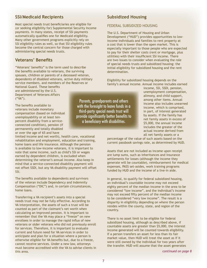# **SSI/Medicaid Recipients**

Most special needs trust beneficiaries are eligible for (or seeking eligibility for) Supplemental Security Income payments. In many states, receipt of SSI payments automatically qualifies one for Medicaid eligibility. Many other government programs explicitly rely on SSI eligibility rules as well, so that SSI eligibility rules become the central concern for those charged with administering special needs trusts.

# **Veterans' Benefits**

"Veterans' benefits" is the term used to describe the benefits available to veterans, the surviving spouses, children or parents of a deceased veteran, dependents of disabled veterans, active duty military service members, and members of the Reserves or National Guard. These benefits

are administered by the U.S. Department of Veterans Affairs ("VA").

The benefits available to veterans include monetary compensation (based on individual unemployability or at least tenpercent disability from a serviceconnected condition), pension (if permanently and totally disabled or over the age of 65 and have

limited income and net worth), health care, vocational rehabilitation and employment, education and training, home loans and life insurance. Although the pension is available to low-income veterans, it is important to note that some income, such as child's SSI or wages earned by dependent children, is excluded when determining the veteran's annual income. Also keep in mind that a service-connected disability payment will not offset SSDI, but any VA disability payment will offset SSI.

The benefits available to dependents and survivors of the veteran include Dependency and Indemnity Compensation ("DIC") and, in certain circumstances, home loans.

Transferring a VA recipient's assets into a special needs trust may not be fully effective. According to VA interpretation, the assets of such a trust will be counted as part of the claimant's net worth when calculating an improved pension. It is important to remember that the VA may place a "freeze" on new enrollees in order to manage the rapid influx of new veterans or older veterans who did not previously enroll for services. Therefore, it is important to evaluate current and future need for VA services in order to anticipate and plan for a situation where a person is otherwise eligible for VA benefits but, due to a freeze, cannot receive services. Under a new law, attorneys must become accredited with the VA to advise clients in this area.

Parents, grandparents and others with the foresight to leave funds in a third-party special needs trust will provide significantly better benefits to a beneficiary with disabilities.

### **Subsidized Housing**

#### FEDERAL SUBSIDIZED HOUSING

The U.S. Department of Housing and Urban Development ("HUD") provides opportunities to lowincome individuals and families to rent property at a cost that is lower than the open market. This is especially important to those people who are expected to pay for their shelter costs (rent or mortgage, plus utilities) with their insufficient SSI income. There are two issues to consider when evaluating the role of special needs trusts and subsidized housing: the initial eligibility for subsidized housing and the rent determination.

Eligibility for subsidized housing depends on the family's annual income. Annual income includes earned

> income, SSI, SSDI, pension, unemployment compensation, alimony, and child support, among other items. Annual income also includes unearned income, which is comprised, in part, of interest generated by assets. If the family has net family assets in excess of \$5,000, the annual income includes the greater of the actual income derived from all net family assets or a

percentage of the value of such assets based on the current passbook savings rate, as determined by HUD.

Assets that are not included as income upon receipt are lump sums, such as inheritances and insurance settlements for losses (although the income they generate will be countable), reimbursement for medical expenses, PASS set-asides, work training programs funded by HUD and the income of a live-in aide.

In general, to qualify for federal subsidized housing, an individual's countable income may not exceed eighty percent of the median income in the area to be considered "low income", and the individual's income may not exceed fifty percent of the median income to be considered "very low income". The result is a disparity in eligibility depending on where the person resides within the county, state, and region of the country.

There is no asset limit to be eligible for federal subsidized housing, although as described above, if countable assets are greater than \$5,000, the interest income generated will be counted towards eligibility. If a person transfers an asset for less than its fair market value, then HUD will treat the asset as if it were still owned by the individual for two years after the transfer. HUD will assume that the asset generates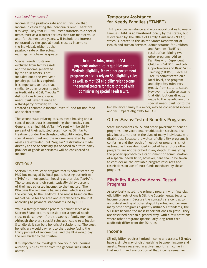income at the passbook rate and will include that income in calculating the individual's rent. Therefore, it is very likely that HUD will treat transfers to a special needs trust as a transfer for less than fair market value and, for the next two years, will include the interest generated by the special needs trust as income to

the individual, either at the passbook rate or the actual earnings, whichever is greater.

Special Needs Trusts are excluded from family assets and the income generated by the trust assets is not included once the two-year penalty period has expired. It is important to note that, similar to other programs such as Medicaid and SSI, "regular" distributions from a special needs trust, even if made to a third-party provider, will be

In many states, receipt of SSI payments automatically qualifies one for Medicaid eligibility. Many other government programs explicitly rely on SSI eligibility rules as well, so that SSI eligibility rules become the central concern for those charged with administering special needs trusts.

treated as countable income, even if used for non-food and shelter items.

The second issue relating to subsidized housing and a special needs trust is determining the monthly rent. Generally, an individual/family's rent will be thirty percent of their adjusted gross income. Similar to treatment under the threshold eligibility rules, the special needs trust and the income generated by trust assets are excluded, but "regular" distributions made directly to the beneficiary (as opposed to a third-party provider of goods or services) will be considered as income.

#### SECTION 8

Section 8 is a voucher program that is administered by HUD but managed by local public housing authorities ("PHA") or metropolitan housing authorities ("MHA"). The tenant pays their rent, typically thirty percent of their net adjusted income, to the landlord. The PHA pays the remaining balance due, which is called the voucher, to the landlord. The rent is based on the market value for the area and established by the PHA according to payment standards issued by HUD.

While a family member generally cannot serve as a Section 8 landlord, it is possible for a special needs trust to do so, even if the trustee is a family member. Although there are special rules applicable to a Section 8 landlord, it can be a beneficial relationship. The trust beneficiary would pay rent to the trustee (using the thirty percent of income rule) and the PHA would pay the remainder to the trustee.

It is important to investigate how your local housing authority's rules differ from the general rules listed above.

#### **Temporary Assistance for Needy Families ("TANF")**

TANF provides assistance and work opportunities to needy families. TANF is administered locally by the states, but is overseen by The Office of Family Assistance ("OFA"), which is located in the United States Department of Health and Human Services, Administration for Children

> and Families. TANF is a result of combining two other programs: Aid to Families with Dependent Children ("AFDC") and Job Opportunities and Basic Skills Training ("JOBS"). Because TANF is administered on a local level, the program and eligibility rules vary greatly from state to state. However, it is safe to assume that distributions directly made to the beneficiary of a special needs trust, or to the

beneficiary's family if a minor, may be considered income and will impact eligibility for TANF.

#### **Other Means-Tested Benefits Programs**

State supplements to SSI and other government benefit programs, like vocational rehabilitation services, also play important roles in the lives of many individuals with disabilities. Because the welter of eligibility programs is confusing and the reach of most other programs is not as broad as those described in detail here, those other programs are not described in any depth. In analyzing the proper approach to establishment or administration of a special needs trust, however, care should be taken to consider all the available program resources and restrictions on use of trust funds mandated by those programs.

#### **Eligibility Rules for Means- Tested Programs**

As previously noted, the primary program with financial eligibility restrictions is SSI, the Supplemental Security Income program. Because the concepts are central to an understanding of other eligibility rules, and because many other programs explicitly utilize SSI standards, the SSI rules become the most important ones to grasp. They are described here in a general way, with a few notations where other programs (particularly long-term care Medicaid) differ from the SSI rules.

#### **Income**

SSI eligibility requires limited income and assets. SSI rules have a simple way of distinguishing between income and assets: Money received in a given month is income in that month, and any portion of that income remaining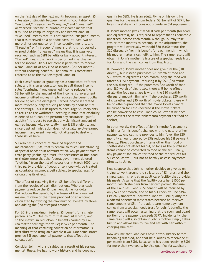on the first day of the next month becomes an asset. SSI rules also distinguish between what is "countable" or "excluded," "regular" or "irregular," and "unearned" or "earned" income. "Countable" income means that it is used to compute eligibility and benefit amount. "Excluded" means that it is not counted. "Regular" means that it is received on a periodic basis, at least two or more times per quarter or in consecutive months, and "irregular" or "infrequent" means that it is not periodic or predictable. "Unearned" means that it is passively received, such as SSDI benefits or bank account interest. "Earned" means that work is performed in exchange for the income. An SSI recipient is permitted to receive a small amount of any kind of income (\$20 per month) without reducing benefits. That amount is sometimes referred to as the SSI "disregard" amount.

Each classification or grouping has a somewhat different rule, and it is an understatement to call these income rules "confusing." Any unearned income reduces the SSI benefit by the amount of the income, so investment income or gifted money simply reduces the benefit dollar for dollar, less the disregard. Earned income is treated more favorably, only reducing benefits by about half of the earnings. This is designed to encourage SSI recipients to return to the workforce. Keeping in mind that disability is defined as "unable to perform any substantial gainful activity," it is easy to see that any significant amount of earned income will eventually imperil SSI eligibility and, since trust administration does not usually involve earned income in any event, we will not attempt to deal with those issues here.

SSI also has a concept of "in-kind support and maintenance" (ISM) that is central to much understanding of special needs trust administration. Any payment from a third party (including a trust) for necessities of life—food or shelter (note that the federal government deleted "clothing" from the list of necessities in March 2005) to a third party provider of goods or services—will be treated as countable income, albeit subject to special rules for calculating its effect.

The effect of receiving ISM on SSI benefits is different from the receipt of cash distributions. Where as cash payments reduce the SSI payment dollar for dollar, ISM reduces the benefit by the lesser of the presumed maximum value of the items provided or an amount calculated by dividing the maximum SSI benefit by three and adding the \$20 disregard amount.

For 2019 the maximum federal SSI benefit for a single person is \$771. One-third of that amount is \$257, and so the maximum reduction in benefits caused by ISM (no matter how high the value) is \$277 per month. The meaning of that confusing collection of information is best illustrated using an example (CAUTION: some states provide SSI supplemental payments that affect this calculation).

Consider John, who is disabled as a result of his serious mental illness. He has no work history, and he does not qualify for SSDI. He is an adult, living on his own. He qualifies for the maximum federal SSI benefit of \$771; he lives in a state which does not provide an SSI supplement.

If John's mother gives him \$100 cash per month (for food and cigarettes), he is required to report that as countable unearned income each month. Although SSI may take two or three months to accomplish the adjustment, the program will eventually withhold \$80 (\$100 minus the \$20 disregard) from his benefit for each month in which his mother makes a cash gift to him. The same result will obtain if John's mother is trustee of a special needs trust for John and the cash comes from that trust.

If, however, John's mother does not give him the \$100 directly, but instead purchases \$70 worth of food and \$30 worth of cigarettes each month, only the food will affect his SSI payment—reducing it by \$50 (\$70 minus the \$20 disregard). If she purchases \$20 worth of food and \$80 worth of cigarettes, there will be no effect at all—the food purchase is within the \$20 monthly disregard amount. Similarly, if she purchases \$20 worth of cigarettes and \$30 worth of movie tickets, there will be no effect—provided that the movie tickets cannot be turned in for cash (because if the movie tickets can be converted to cash, John could—even if he does not—convert the movie tickets into payment for food or shelter).

In other words, the effect of John's mother's payments to him or for his benefit changes with the nature of her payments. Any cash she provides to him (over the \$20 monthly amount ignored by SSI) reduces his SSI payment directly. Direct purchase of items other than food or shelter does not affect his SSI, so long as the purchased items cannot be converted to food or shelter. Finally, any payment she makes for food or shelter reduces his SSI check as well, but not as harshly as cash payments directly to John.

Now suppose that John's mother decides to give up on trying to work around the strictures of SSI rules, and she simply pays his rent at an adult care facility that provides his meals. Assume that the facility costs her \$1500 per month, which she pays from her own pocket. Because of the ISM rules, John's SSI benefit will be reduced by only \$277 per month, and so his SSI check will be \$494. Critically important, however, John will still qualify for Medicaid benefits in most states because he receives some amount of SSI. If the adult care home payment comes from a special needs trust for John's benefit, the same result will occur, assuming that the room and board portion of the payment exceeds \$277. Incidentally, the same result will also obtain if John's mother simply takes him in and allows him to live and eat with her without charging him rent.

Now assume that John does have a work history before becoming disabled, and that he qualifies to receive \$571 per month from SSDI. Because he has been receiving SSDI for more than two years, he also qualifies for Medicare.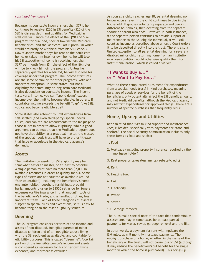Because his countable income is less than \$771, he continues to receive \$220 in SSI benefits (\$20 of the SSD is disregarded), and qualifies for Medicaid as well (we will ignore the effect of the QMB and SLMB programs for qualified, special low-income Medicare beneficiaries, and the Medicare Part B premium which would ordinarily be withheld from his SSDI check). Now if John's mother pays his rent at the adult care home, or takes him into her own home, he will lose his SSI altogether—since he is receiving less than \$277 per month from SSI, the effect of the ISM rules will be to knock him off the program. Unless he separately qualifies for Medicaid, he will also lose his coverage under that program. The income strictures are the same or similar for other programs, with one important exception. In some states, but not all, eligibility for community or long-term care Medicaid is also dependent on countable income. The income tests vary. In some, you can "spend down" excess income over the limit to become eligible. In others, if countable income exceeds the benefit "cap" (like SSI), you cannot become eligible at all.

Some states also attempt to limit expenditures from self-settled (and even third-party) special needs trusts, and can require amendments to the language of those trusts in order to allow eligibility. While a good argument can be made that the Medicaid program does not have that ability, as a practical matter, the trustee of the special needs trust will have to either litigate that issue or acquiesce in the Medicaid agency's demands.

#### **Assets**

The limitation on assets for SSI eligibility may be somewhat easier to master, or at least to describe. A single person must have no more than \$2,000 in available resources in order to qualify for SSI. Some types of assets are not counted as available (called "non-countable"), including the beneficiary's home, one automobile, household furnishings, prepaid burial amounts plus up to \$1500 set aside for funeral expenses (or life insurance in that amount), tools of the beneficiary's trade, and a handful of other, less important items. Each of these categories of assets is subject to special rules and exceptions, so it is easy to become tangled in the asset eligibility structure.

#### **Deeming**

The SSI program considers portions of the income and assets of non-disabled, ineligible parents of minor disabled children and of an ineligible spouse living with the SSI recipient as available, and countable for eligibility purposes. This is called "deeming". A certain portion of the ineligible person's income and assets is considered as necessary for his or her own living expenses, and therefore is excluded.

As soon as a child reaches age 18, parental deeming no longer occurs, even if the child continues to live in the household. If spouses voluntarily separate and live in different households, then deeming from the separate spouse or parent also ends. However, in both instances, if the separate person continues to provide support or maintenance to the SSI eligible individual, it will still count as income as described above unless a Court orders it to be deposited directly into the trust. There is also a limited exception to all parental deeming for a severely disabled minor child returning home from an institution or whose condition would otherwise qualify them for institutionalization, which is called a waiver.

### **"I Want to Buy a..." or "I Want to Pay for..."**

What do these complicated rules mean for expenditures from a special needs trust? In-kind purchases, meaning purchase of goods or services for the benefit of the beneficiary, only potentially affect the SSI benefit amount, and not Medicaid benefits, although the Medicaid agency may restrict expenditures for approved things. There are a number of specific purchases that frequently recur:

#### **Home, Upkeep and Utilities**

Keep in mind that SSI's in-kind support and maintenance (ISM) rules deal specifically with payments for "food and shelter." The Social Security Administration includes only these items as food and shelter:

- 1. Food
- 2. Mortgage (including property insurance required by the mortgage holder)
- 3. Real property taxes (less any tax rebate/credit)
- 4. Rent
- 5. Heating fuel
- 6. Gas
- 7. Electricity
- 8. Water
- 9. Sewer
- 10. Garbage removal

The rules make special note of the fact that condominium assessments may in some cases be at least partial payments for water, sewer, garbage removal and the like.

In other words, a payment for rent will implicate the ISM rules, as will monthly mortgage payments. The outright purchase of a home, whether in the name of the beneficiary or the trust, will not cause loss of SSI (although it may reduce the beneficiary's SSI benefit for the single month in which the home is purchased). This brings up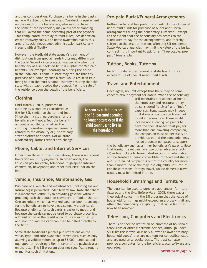another consideration. Purchase of a home in the trust's name will subject it to a Medicaid "payback" requirement on the death of the beneficiary, whereas purchase in the name of the beneficiary may allow other planning that will avoid the home becoming part of the payback. This complicated interplay of trust rules, ISM definition, estate-recovery rules, and home ownership makes this area of special needs trust administration particularly fraught with difficulty.

However, the Medicaid state agency's treatment of distributions from special needs trusts may differ from the Social Security interpretation—especially when the beneficiary of a self-settled trust is eligible for Medicaid benefits. For example, contrary to putting the house in the individual's name, a state may require that any purchase of a home by such a trust would result in title being held in the trust's name, thereby ensuring that the state will at least receive the proceeds from the sale of the residence upon the death of the beneficiary.

# **Pre-paid Burial/Funeral Arrangements**

Nothing in federal law prohibits or restricts use of special needs trust funds for purchase of burial and funeral arrangements during the beneficiary's lifetime— except to the extent that the beneficiary has access to the funds used to pay for the arrangements, and thereby subject to the asset limitations affecting SSI recipients. State Medicaid agencies may limit the value of the burial contract. It is important to ask for an "irrevocable, prepaid" funeral plan.

# **Tuition, Books, Tutoring**

No limit under either federal or state law. This is an excellent use of special needs trust funds.

# **Travel and Entertainment**

Once again, no limit except that there may be some concern about payment for hotels. When the beneficiary

**Clothing** 

Until March 7, 2005, purchase of clothing by a trust was considered as ISM for SSI, similar to shelter and food. Since then, a clothing purchase for the beneficiary will not affect the benefit amount or eligibility, whether the clothing in question is special garments related to the disability or just ordinary street clothes and shoes. Not all state Medicaid regulations reflect this change.

# **Phone, Cable, and Internet Services**

Other than those utilities listed above, there is no federal limitation on utility payments. In other words, the trust can pay for cable, telephone, high-speed internet connection, newspaper, and other "utilities" not on the list.

# **Vehicle, Insurance, Maintenance, Gas**

Purchase of a vehicle and maintenance (including gas and insurance) is permitted under federal law. Note that there is a mechanical difficulty in providing gasoline without providing cash that could be converted to food or shelter. One technique which has worked well has been to arrange for the beneficiary to have a gas-company credit card. Because eligibility for such cards is easier to meet, and because the cards cannot be used to purchase groceries, administration of the credit account is easier to set up and monitor, and the card can then be billed directly to the trust.

Some state Medicaid agencies put limitations on the value, type, and title ownership of vehicles, such as only allowing a vehicle valued at up to \$5,000, handicappedequipped, or requiring a lien in favor of the payback trust on the title. The SSI program does not specifically require or monitor such limitations.

As soon as a child reaches age 18, parental deeming no longer occurs even if the child continues to live in the household.

still maintains a residence at home, the hotel stay and restaurant may be considered "shelter" and "food" expenses. Some states may impose limitations on companion travel not found in federal law. These might include not allowing recipients to have the special needs trust pay for more than one traveling companion, the companion must be necessary to provide care, and the companion may not be a person obligated to support

the beneficiary such as a minor beneficiary's parent. Note that foreign travel can have two other adverse effects: (1) airline tickets to foreign destinations, if refundable, will be treated as being convertible into food and shelter, and (2) if an SSI recipient is out of the country for more than a month, he or she may lose eligibility until return. For those reasons, foreign travel, unlike domestic travel, usually must be limited in time.

# **Household Furnishings and Furniture**

The trust can be used to purchase appliances, furniture, fixtures and the like. Before March 2005, there was a theoretical concern in the SSI program that the value of household furnishings might exceed an arbitrary limit and affect the beneficiary's eligibility; that value limit has now been removed.

# **Television, Computers and Electronics**

There is no specific limitation on purchase of household televisions or other electronic devices, although under SSI rules the individual is only allowed to own "ordinary household goods" that are not kept for collectible value and are used on a regular basis. The trust can also provide a computer for the beneficiary, plus software and upgrades.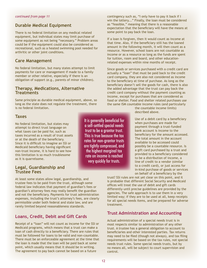# **Durable Medical Equipment**

There is no federal limitation on any medical related equipment, but individual states may limit purchase of some equipment as not being "necessary." Problem areas could be if the equipment could also be considered as recreational, such as a heated swimming pool needed for arthritic or other joint conditions.

# **Care Management**

No federal limitation, but many states attempt to limit payments for care or management if made to a family member or other relative, especially if there is an obligation of support (e.g., parents of minor children).

#### **Therapy, Medications, Alternative Treatments**

Same principle as durable medical equipment, above, so long as the state does not regulate the treatment, there is no federal limitation.

#### **Taxes**

No federal limitation, but states may attempt to direct trust language on what taxes can be paid for, such as taxes incurred as a result of trust assets or at the death of the beneficiary. Since it is difficult to imagine an SSI or Medicaid beneficiary having significant non-trust income, it is hard to see how this limitation is so much troublesome as it is quarrelsome.

#### **Legal, Guardianship and Trustee Fees**

At least some states allow legal, guardianship, and trustee fees to be paid from the trust, although some federal law indicates that payment of guardian's fees or guardian's attorney fees may really benefit the guardian and not the beneficiary. Payments for trust administration expenses, including the trust's attorney's fees, are clearly permissible under both federal and state law, and are rarely limited beyond reasonableness standards.

# **Loans, Credit, Debit and Gift Cards**

Receipt of a "loan" will not count as income for the SSI or Medicaid programs, which means that a trust can make a loan of cash directly to a beneficiary. There are rules that must be followed for loans to be valid and non-countable. There must be an enforceable agreement at the time that the loan is made that the loan will be paid back at some point, which usually means that it should be in writing. The agreement to pay back cannot be based on a future

It is generally beneficial for a self-settled special needs trust to be a grantor trust. This is true because the tax rates for non-grantor trusts are tightly compressed, and the highest marginal tax rate on income is reached very quickly for trusts.

contingency such as, "I only have to pay it back if I win the lottery..." Finally, the loan must be considered as "feasible," meaning that there is a reasonable expectation that the beneficiary will have the means at some point to pay back the loan.

If a loan is forgiven, then it would count as income at that time. Also, if the beneficiary still has the loaned amount in the following month, it will then count as a resource. However, school loans are not countable as income or as a resource so long as the funds are spent for tuition, room and board, and other educationrelated expenses within nine months of receipt.

Since goods or services purchased with a credit card are actually a "loan" that must be paid back to the credit card company, they are also not considered as income to the beneficiary at time of purchase. As long as the beneficiary doesn't sell the goods for cash, there is also the added advantage that the trust can pay back the credit card company without the payment counting as income, except for purchases that are considered as food or shelter. Food and shelter related purchases use the same ISM countable income rules (and particularly

> the countable income limits) described above.

Use of a debit card by a beneficiary when purchases are made for payment through a trust-funded bank account is income to the beneficiary for the amount accessed. The total amount in the account available to be accessed could possibly be a countable resource. Is a gift card purchased by a trust and provided to a beneficiary considered to be a distribution of income, a line of credit to a vendor (similar to a credit card), or just access for in-kind purchase of goods or services on behalf of a beneficiary by the

trust? SSI rules are not yet clear on this point, and it is probable that different Social Security and Medicaid offices will treat the use of debit and gift cards differently until precise guidelines are provided by the agencies. The safe approach is to use them in a very limited way; if they are to be used at all, keep receipts for all special needs items, and be prepared for adverse treatment.

#### **Trust Administration and Accounting**

Actual administration of a special needs trust is in most respects similar to administration of any other trust. A trustee has a general obligation to account to beneficiaries and other interested parties. Tax returns may need to be filed (though not always), and tax filing requirements will be based on the tax rules, not special needs trust rules. Some special needs trusts, but by no means all, will be subject to court supervision and control.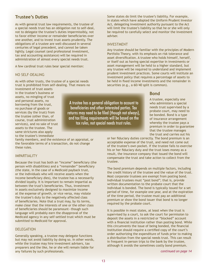# **Trustee's Duties**

As with general trust law requirements, the trustee of a special needs trust has an obligation not to self-deal, not to delegate the trustee's duties impermissibly, not to favor either income or remainder beneficiaries over one another, and to invest trust assets prudently. The obligations of a trustee are well-discussed in several centuries of legal precedent, and cannot be taken lightly. Legal counsel (and professional investment, tax and accounting assistance) will be required in administration of almost every special needs trust.

A few cardinal trust rules bear special mention:

#### NO SELF-DEALING

As with other trusts, the trustee of a special needs trust is prohibited from self-dealing. That means no

investment of trust assets in the trustee's business or assets, no mingling of trust and personal assets, no borrowing from the trust, no purchase of goods or services (by the trust) from the trustee (other than, of course, trust administration services), and no sale of trust assets to the trustee. The same strictures also apply to the trustee's immediate

family members, and the existence of an appraisal, or the favorable terms of a transaction, do not change these rules.

#### **IMPARTIALITY**

Because the trust has both an "income" beneficiary (the person with disabilities) and a "remainder" beneficiary (the state, in the case of a Medicaid payback trust, or the individuals who will receive assets when the income beneficiary dies), the trustee has a necessarily divided loyalty. It is important to remain impartial as between the trust's beneficiaries. Thus, investment in assets exclusively designed to maximize income at the expense of growth, or vice versa, may violate the trustee's duty to the negatively affected class of beneficiaries. Note that a trust may, by its terms, make clear that the interests of one or the other class of beneficiaries should be paramount—though such language will probably earn the disapproval of the Medicaid agency in any self-settled trust which must be submitted to Medicaid for approval.

#### DELEGATION

Generally speaking, a trustee may delegate functions but may not avoid liability by doing so. In other words, while the trustee may hire investment advisers, tax preparers and the like, he or she will remain liable for any failures by such professionals.

Some states do limit the trustee's liability. For example, in states which have adopted the Uniform Prudent Investor Act, delegating investment authority pursuant to the Act will limit the trustee's liability so that he or she will only be required to carefully select and monitor the investment adviser.

#### INVESTMENT

Any trustee should be familiar with the principles of Modern Portfolio Theory, with its emphasis on risk tolerance and asset diversification. A trustee who holds himself, herself, or itself out as having special expertise in investments or asset management will be held to a higher standard, but any trustee will be required to understand and implement prudent investment practices. Some courts will institute an investment policy that requires a percentage of assets to be held in fixed income investments and the remainder in securities (e.g., a 60/40 split is common).

#### **Bond**

A trustee, especially one who administers a special needs trust supervised by a probate court, may need to be bonded. Bond is a type of insurance arrangement whereby the trustee pays a premium in order to guarantee that the trustee manages the trust and carries out his

or her fiduciary duties correctly. The bond premium is an acceptable expense of the trust, and need not come out of the trustee's own pocket. If the trustee fails to exercise his or her fiduciary duty and the trust loses money as a result, the insurance company that issued the bond will compensate the trust and take action to collect from the trustee.

The bond premium depends on multiple factors, including the credit history of the trustee and the value of the trust. Most corporate trustees are exempt from posting bond. Individual trustees must "post bond"; that is, provide written documentation to the probate court that the individual is bonded. The bond is typically issued for a set period of time, for example one year, and at the expiration of the time period, the trustee must pay an additional premium or show the bond issuer that bond is no longer required by the probate court.

It is possible in most states, at least when the trust is supervised by a court, to ask the court for permission to deposit the assets in a restricted or "blocked" account with a financial institution rather than posting bond. While this circumvents the issue of being bonded, the financial institution should require a certified copy of the court's order authorizing the expenditure of funds prior to making a distribution from the special needs trust. This can result in frequent in-person trips to the bank by the trustee, although it avoids the sometimes costly bond premium.

A trustee has a general obligation to account to beneficiaries and other interested parties. Tax returns may need to be filed (though not always), and tax filing requirements will be based on the tax rules, not special needs trust rules.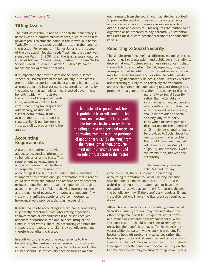# **Titling Assets**

The trust assets should not be titled in the beneficiary's name except in limited circumstances, such as when it is advantageous to title the home in the individual's name. Typically, the trust assets should be titled in the name of the trustee. For example, if James Jones is the trustee of the Lisa Martin Special Needs Trust, and that trust was signed on March 15, 2007, then the trust assets should be titled as follows: "James Jones, Trustee of the Lisa Martin Special Needs Trust u/a/d March 15, 2007" ("u/a/d" means "under agreement dated").

It is important that most assets not be held in James Jones's or Lisa Martin's name individually. If the assets are not titled properly, then the assets may be counted as a resource, or the interest earned counted as income, by the agencies that administer means-tested government

benefits, which will frustrate the purpose of the special needs trust, as well as contribute to confusion during tax preparation. Additionally, as discussed in further detail below, it may also be important to request a separate Tax ID number for the trust as well as properly title the assets.

#### **Accounting Requirements**

A trustee is required to provide adequate accounting information to beneficiaries of the trust. That requirement generally means annual accountings. While there is no specific form required for

accountings if the trust is not under court supervision, it is important to provide enough information that a reader could determine the nature and amount of any payment or investment. For some trusts, a simple "check register" accounting may be sufficient, showing interest income and the names of payees, with dates and amounts. Any trust with significant assets or diverse investments, however, should provide a thorough accounting.

Regular, complete accountings are critical. A beneficiary is generally foreclosed from later raising objections to investments or expenditures if he or she received adequate disclosure in the annual accounting at the time. In other words, thorough accounting can limit the trustee's later exposure to claims by beneficiaries, and therefore benefits the trustee.

In addition to the accounting requirements to the beneficiary, the trustee may be required to provide an annual or biennial accounting to the probate court. The trustee should use the county-specific forms available

upon request from the court, and may also be required to provide the court with copies of bank statements and cancelled checks or receipts as evidence of trust distributions and deposits. This requires the trustee to be organized or be prepared to pay potentially substantial bank fees for duplicate account statements or cancelled checks.

# **Reporting to Social Security**

The simple term "income" has different meanings in trust accounting, tax preparation, and public benefits eligibility determinations. Trustees sometimes raise concerns that thorough trust accountings (to SSI, especially) may result in suspension of benefits, or that tax return information may be used to terminate SSI or other benefits. While such things undoubtedly do occur, Social Security workers are increasingly likely to be relatively sophisticated about such distinctions, and willing to work through any problems. In a general way, then, it is better to disclose

> more fully to Social Security rather than withhold any information. Annual accountings of any self-settled trust naming an SSI recipient as beneficiary should be provided to Social Security. Any third-party trust which makes significant distributions for the benefit of an SSI recipient should probably be provided to Social Security, just to prevent later problems that could have been headed off. If distributions disrupt eligibility, the problem is with the distribution, not with the accounting.

If the beneficiary receives only SSDI and not any

concurrent SSI, there is no point in providing accounting information to Social Security, because SSDI benefits are not means-tested. If the trust is a third-party trust, the trustee may not have any obligation to provide accounting information, though the beneficiary may (if the beneficiary receives SSI and trust distributions invoke the ISM rules) be required to do so.

Although it no longer occurs as regularly, some Social Security eligibility workers may misunderstand the effect of special needs trust expenditures or terms and reduce or eliminate benefits improperly. When this does occur, it should be possible to remedy the error, but the beneficiary may suffer for months (or years) while the system works out the problem. Far better to head off problems in advance, rather than have to spend substantial resources and time resolving them after the fact. Be aware that fees for a trustee's time spent directly dealing with Social Security on the beneficiary's behalf may be subject to approval by SSA.

The trustee of a special needs trust is prohibited from self-dealing. That means no investment of trust assets in the trustee's business or assets, no mingling of trust and personal assets, no borrowing from the trust, no purchase of goods or services (by the trust) from the trustee (other than, of course, trust administration services), and no sale of trust assets to the trustee.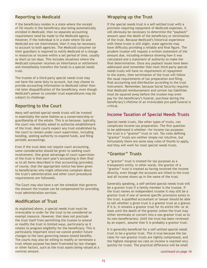# **Reporting to Medicaid**

If the beneficiary resides in a state where the receipt of SSI results in the beneficiary also being automatically enrolled in Medicaid, then no separate accounting requirement need be made to the Medicaid agency. However, if the individual is in a state where SSI and Medicaid are not interrelated, then it may be necessary to account to both agencies. The Medicaid consumer (or their guardian) is required to notify Medicaid of a change in resources or income within a set period of time, usually as short as ten days. This includes situations where the Medicaid consumer receives an inheritance or settlement and immediately transfers the funds to a special needs trust.

The trustee of a third-party special needs trust may not have the same duty to account, but may choose to provide accounting information to Medicaid rather than risk later disqualification of the beneficiary, even though Medicaid's power to consider trust expenditures may be subject to challenge.

# **Reporting to the Court**

Many self-settled special needs trusts will be treated in essentially the same fashion as a conservatorship or guardianship of the estate. This is so because, typically, the court was initially asked to authorize establishment of the trust. Most courts expect any trust established by the court to remain under court supervision, including bonding, seeking authority to expend funds, and filing periodic accountings.

Even if the trust does not require court accounting, some consideration should be given to seeking court involvement. One great advantage of court supervision of the trust is that each year's accounting is then final as to all items described in that accounting (provided, of course, that the appropriate notice has been given to beneficiaries who might otherwise complain about the trust's administration and other court procedural requirements are followed).

The Court may also have a set fee schedule that governs the amount the trustee can be compensated for providing trust administration services.

# **Modification of Trust**

As explained above, a special needs trust must be irrevocable in order for the trust to be considered an exempt resource. However, that does not preclude the trust itself from permitting the trustee to amend or modify the trust in limited ways, particularly as it relates to program eligibility for the beneficiary. This is particularly important since we cannot predict future changes to the laws governing means-tested benefits. The courts may also be willing to modify or terminate a trust whose purpose has been frustrated by law changes or other factors, such as the trust assets being valued at a nominal amount.

# **Wrapping up the Trust**

If the special needs trust is a self-settled trust with a provision requiring repayment of Medicaid expenses, it will obviously be necessary to determine the "payback" amount upon the death of the beneficiary or termination of the trust. Because Medicaid's historical experience with these trusts is still slight, state agencies may have difficulty providing a reliable and final figure. The prudent trustee will request a written statement of the amount due, including evidence showing how it was calculated and a statement of authority to make the final determination. Once any payback issues have been addressed (and remember that most third-party special needs trusts will have no requirement of repayment to the state), then termination of the trust will follow the usual requirements of tax preparation and filing, final accounting and distribution according to the trust instrument. Remember, because Social Security requires that Medicaid reimbursement and certain tax liabilities must be squared away before the trustee may even pay for the beneficiary's funeral, purchase during the beneficiary's lifetime of an irrevocable pre-paid funeral is critical.

# **Income Taxation of Special Needs Trusts**

Special needs trusts, like other types of trusts, can complicate income tax preparation. The first question to be addressed is whether—for income tax purposes– the trust is a "grantor" trust or not. Tax rules defining "grantor" trusts are neither simple nor intuitive, but fortunately there are some easy rules of thumb to apply, and they will work for most special needs trusts.

# **"Grantor" Trusts**

A "grantor" trust is treated for tax purposes as a transparent entity. In other words, the grantor of a "grantor" trust is treated as having received the income directly, even though the accounts are titled to the trust and all income shows up in the name of the trust.

Generally speaking, a self-settled special needs trust will be a grantor trust if a family member is the trustee. If the trust names an independent trustee it may still be a grantor trust if one of several specific provisions exists in the trust. A qualified accountant or lawyer should be able to tell whether a given trust is a grantor trust at a glance. If it is, it remains a grantor trust for its entire life—or at least until the death of the grantor (when the trust may either terminate or convert into a non-grantor trust as to its new beneficiaries). Until the trust has been reviewed by an expert, assume that it is probably a grantor trust.

It is generally beneficial for a self-settled special needs trust to be a grantor trust. This is true because the tax rates for non-grantor trusts are tightly compressed, and the highest marginal tax rate on income is reached very quickly for trusts. The practical difference will be small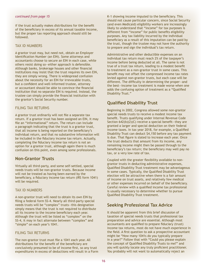if the trust actually makes distributions for the benefit of the beneficiary in excess of its annual taxable income, but the proper tax reporting approach should still be followed.

#### TAX ID NUMBERS

A grantor trust may, but need not, obtain an Employer Identification Number (an EIN). Some attorneys and accountants choose to secure an EIN in each case, while others resist doing so—either approach is defensible. Although banks, brokerage houses and other financial institutions may insist that the trust requires its own EIN, they are simply wrong. There is widespread confusion about the necessity for an EIN for irrevocable trusts, but a confident and well-informed trustee, attorney or accountant should be able to convince the financial institution that no separate EIN is required. Instead, the trustee can simply provide the financial institution with the grantor's Social Security number.

#### FILING TAX RETURNS

A grantor trust ordinarily will not file a separate tax return. If a grantor trust has been assigned an EIN, it may file an "informational" return. The return can include a paragraph indicating that the trust is a grantor trust, that all income is being reported on the beneficiary's individual return, and that no substantive information will be included in the fiduciary income tax return. Actually, completing the fiduciary income tax return is not an option for a grantor trust, although again there is much confusion on this point, even among some professionals.

#### **Non-Grantor Trusts**

Virtually all third-party, and some self-settled, special needs trusts will be non-grantor trusts. Because income will not be treated as having been earned by the beneficiary, a fiduciary income tax return (IRS form 1041) will be required.

#### TAX ID NUMBERS

A non-grantor trust will need to obtain its own EIN by filing a federal form SS-4. Nearly all third-party special needs trusts will be "complex" trusts—this designation simply means that the trust is not required to distribute all its income to the income beneficiary each year. Although the trust will be listed as "complex" on the SS-4, it may in fact alternate between "complex" and "simple" on each year's 1041.

#### FILING TAX RETURNS

The non-grantor trust must file a 1041 each year. All distributions for the benefit of the beneficiary are conclusively presumed to be of income first, so any trust expenditures in excess of deductions will result in a Form

K-1 showing income imputed to the beneficiary. This should not cause particular concern, since Social Security (and even Medicaid) eligibility workers are increasingly likely to understand that "income" for tax purposes is different from "income" for public benefits eligibility purposes. Any tax liability incurred by the individual beneficiary as a result of this imputation can be paid by the trust, though the trustee may not have the authority to prepare and sign the individual's tax return.

Administrative and other deductible expenses on an individual tax return must reach 2% of the taxpayer's income before being deducted at all. The same is not true of a trust tax return, leading to a modest benefit to treatment as a non-grantor trust in some cases. This benefit may not offset the compressed income tax rates levied against non-grantor trusts, but each case will be different. The difficulty in determining the proper—and the best—income tax treatment is made worse when one adds the confusing option of treatment as a "Qualified Disability Trust."

#### **Qualified Disability Trust**

Beginning in 2002, Congress allowed some non-grantor special needs trusts to receive a modest income tax benefit. Trusts qualifying under Internal Revenue Code Section 642(b)(2)(C) receive a special benefit—they are granted a larger and special deduction on their federal income taxes. In tax year 2018, for example, a Qualified Disability Trust can deduct \$4,150 before any tax payment is due. That figure is slated to increase each year. Once the trust deducts that amount from its income, any remaining income might then be passed through to the beneficiary's tax return; the beneficiary may well pay no tax, or a very low rate of tax.

Coupled with the greater flexibility available to nongrantor trusts in deducting administrative expenses, Qualified Disability Trust treatment may be advantageous in some cases. Typically, the Qualified Disability Trust election will be attractive when there is a fair amount of income on trust assets, and relatively few medical or other expenses incurred on behalf of the beneficiary. Careful review with a qualified income tax professional is usually necessary to determine whether to pursue Qualified Disability Trust treatment.

#### **Seeking Professional Tax Advice**

It should be apparent from this brief discussion of taxation of special needs trusts that professional tax preparation and advice are essential. Although most accountants are qualified to prepare fiduciary (trust) income tax returns, most do not have much experience in the field. A first question to ask a prospective accountant might be "How many 1041s do you typically prepare in a year?" Follow that with "Could you please explain the concept of Qualified Disability Trusts to me?" and you will quickly locate any truly proficient practitioner. You probably will not want to automatically reject an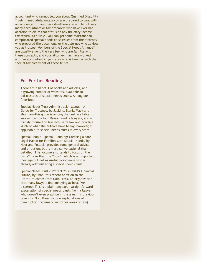accountant who cannot tell you about Qualified Disability Trusts immediately, unless you are prepared to deal with an accountant in another city—there are simply not very many accountants or tax preparers who have ever had occasion to claim that status on any fiduciary income tax return. As always, you can get some assistance in complicated special needs trust issues from the attorney who prepared the document, or the attorney who advises you as trustee. Members of the Special Needs Alliance® are usually among the very few who are familiar with these concepts, and your attorney may have worked with an accountant in your area who is familiar with the special tax treatment of these trusts.

#### **For Further Reading**

There are a handful of books and articles, and a growing number of websites, available to aid trustees of special needs trusts. Among our favorites:

Special Needs Trust Administration Manual: A Guide for Trustees, by Jackins, Blank, Macy and Shulman—this guide is among the best available. It was written by four Massachusetts lawyers, and is frankly focused on Massachusetts law and practice. Much of what the authors have to say, however, is applicable to special needs trusts in every state.

Special People, Special Planning: Creating a Safe Legal Haven for Families with Special Needs, by Hoyt and Pollock—provides some general advice and direction, but is more conversational than detailed. This volume also tends to focus on the "why" more than the "how", which is an important message but not as useful to someone who is already administering a special needs trust.

Special Needs Trusts: Protect Your Child's Financial Future, by Elias—this recent addition to the literature comes from Nolo Press, an organization that many lawyers find annoying at best. We disagree. This is a plain-language, straightforward explanation of special needs trusts from a lawyer who doesn't even practice in the area (his previous books for Nolo Press include explanations of bankruptcy, trademark and other areas of law).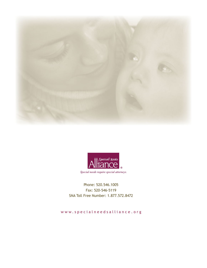



Phone: 520.546.1005 Fax: 520-546-5119 SNA Toll Free Number: 1.877.572.8472

www.specialneedsalliance.org